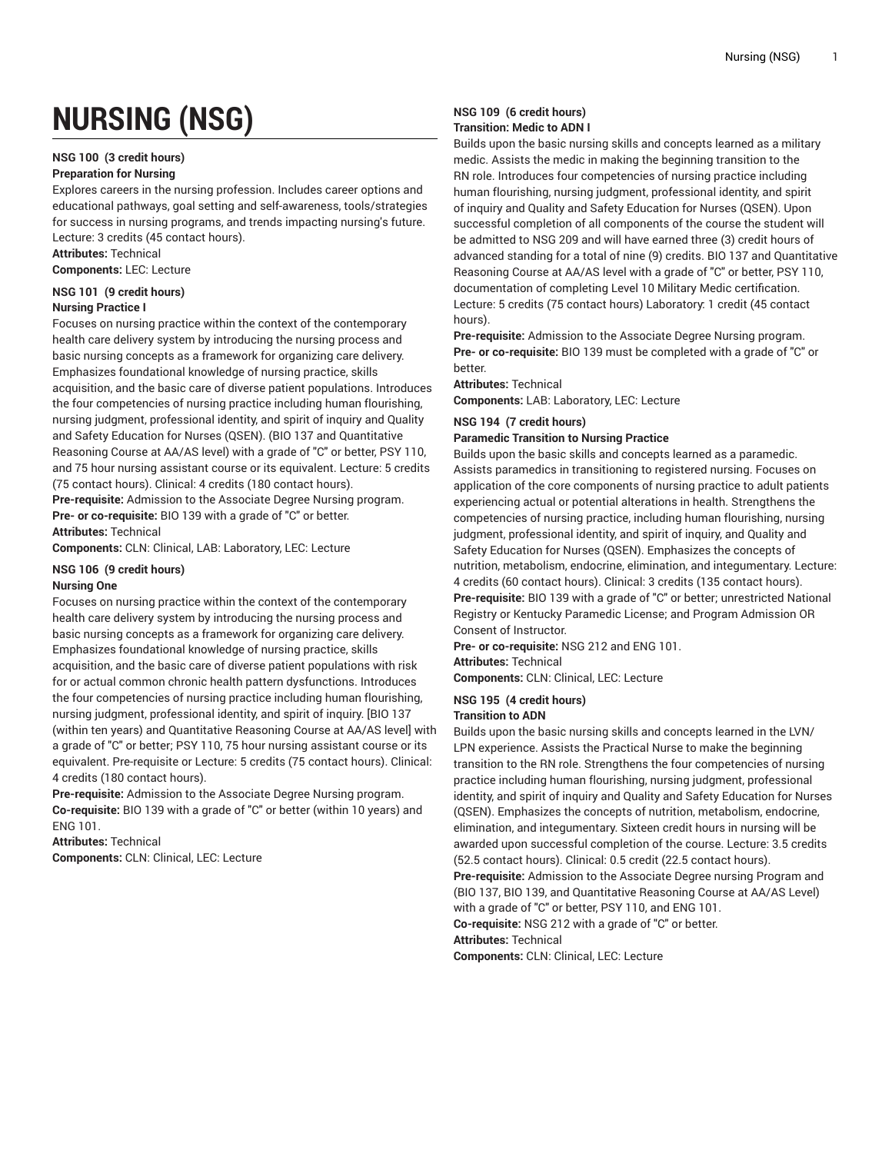# **NURSING (NSG)**

### **NSG 100 (3 credit hours)**

### **Preparation for Nursing**

Explores careers in the nursing profession. Includes career options and educational pathways, goal setting and self-awareness, tools/strategies for success in nursing programs, and trends impacting nursing's future. Lecture: 3 credits (45 contact hours).

**Attributes:** Technical

**Components:** LEC: Lecture

### **NSG 101 (9 credit hours)**

### **Nursing Practice I**

Focuses on nursing practice within the context of the contemporary health care delivery system by introducing the nursing process and basic nursing concepts as a framework for organizing care delivery. Emphasizes foundational knowledge of nursing practice, skills acquisition, and the basic care of diverse patient populations. Introduces the four competencies of nursing practice including human flourishing, nursing judgment, professional identity, and spirit of inquiry and Quality and Safety Education for Nurses (QSEN). (BIO 137 and Quantitative Reasoning Course at AA/AS level) with a grade of "C" or better, PSY 110, and 75 hour nursing assistant course or its equivalent. Lecture: 5 credits (75 contact hours). Clinical: 4 credits (180 contact hours). **Pre-requisite:** Admission to the Associate Degree Nursing program.

**Pre- or co-requisite:** BIO 139 with a grade of "C" or better. **Attributes:** Technical

**Components:** CLN: Clinical, LAB: Laboratory, LEC: Lecture

### **NSG 106 (9 credit hours) Nursing One**

Focuses on nursing practice within the context of the contemporary health care delivery system by introducing the nursing process and basic nursing concepts as a framework for organizing care delivery. Emphasizes foundational knowledge of nursing practice, skills acquisition, and the basic care of diverse patient populations with risk for or actual common chronic health pattern dysfunctions. Introduces the four competencies of nursing practice including human flourishing, nursing judgment, professional identity, and spirit of inquiry. [BIO 137 (within ten years) and Quantitative Reasoning Course at AA/AS level] with a grade of "C" or better; PSY 110, 75 hour nursing assistant course or its equivalent. Pre-requisite or Lecture: 5 credits (75 contact hours). Clinical: 4 credits (180 contact hours).

**Pre-requisite:** Admission to the Associate Degree Nursing program. **Co-requisite:** BIO 139 with a grade of "C" or better (within 10 years) and ENG 101.

**Attributes:** Technical **Components:** CLN: Clinical, LEC: Lecture

### **NSG 109 (6 credit hours) Transition: Medic to ADN I**

Builds upon the basic nursing skills and concepts learned as a military medic. Assists the medic in making the beginning transition to the RN role. Introduces four competencies of nursing practice including human flourishing, nursing judgment, professional identity, and spirit of inquiry and Quality and Safety Education for Nurses (QSEN). Upon successful completion of all components of the course the student will be admitted to NSG 209 and will have earned three (3) credit hours of advanced standing for a total of nine (9) credits. BIO 137 and Quantitative Reasoning Course at AA/AS level with a grade of "C" or better, PSY 110, documentation of completing Level 10 Military Medic certification. Lecture: 5 credits (75 contact hours) Laboratory: 1 credit (45 contact hours).

**Pre-requisite:** Admission to the Associate Degree Nursing program. **Pre- or co-requisite:** BIO 139 must be completed with a grade of "C" or better.

### **Attributes:** Technical

**Components:** LAB: Laboratory, LEC: Lecture

### **NSG 194 (7 credit hours) Paramedic Transition to Nursing Practice**

Builds upon the basic skills and concepts learned as a paramedic. Assists paramedics in transitioning to registered nursing. Focuses on application of the core components of nursing practice to adult patients experiencing actual or potential alterations in health. Strengthens the competencies of nursing practice, including human flourishing, nursing judgment, professional identity, and spirit of inquiry, and Quality and Safety Education for Nurses (QSEN). Emphasizes the concepts of nutrition, metabolism, endocrine, elimination, and integumentary. Lecture: 4 credits (60 contact hours). Clinical: 3 credits (135 contact hours). **Pre-requisite:** BIO 139 with a grade of "C" or better; unrestricted National Registry or Kentucky Paramedic License; and Program Admission OR Consent of Instructor.

**Pre- or co-requisite:** NSG 212 and ENG 101. **Attributes:** Technical

**Components:** CLN: Clinical, LEC: Lecture

**NSG 195 (4 credit hours)**

### **Transition to ADN**

Builds upon the basic nursing skills and concepts learned in the LVN/ LPN experience. Assists the Practical Nurse to make the beginning transition to the RN role. Strengthens the four competencies of nursing practice including human flourishing, nursing judgment, professional identity, and spirit of inquiry and Quality and Safety Education for Nurses (QSEN). Emphasizes the concepts of nutrition, metabolism, endocrine, elimination, and integumentary. Sixteen credit hours in nursing will be awarded upon successful completion of the course. Lecture: 3.5 credits (52.5 contact hours). Clinical: 0.5 credit (22.5 contact hours). **Pre-requisite:** Admission to the Associate Degree nursing Program and (BIO 137, BIO 139, and Quantitative Reasoning Course at AA/AS Level) with a grade of "C" or better, PSY 110, and ENG 101. **Co-requisite:** NSG 212 with a grade of "C" or better. **Attributes:** Technical

**Components:** CLN: Clinical, LEC: Lecture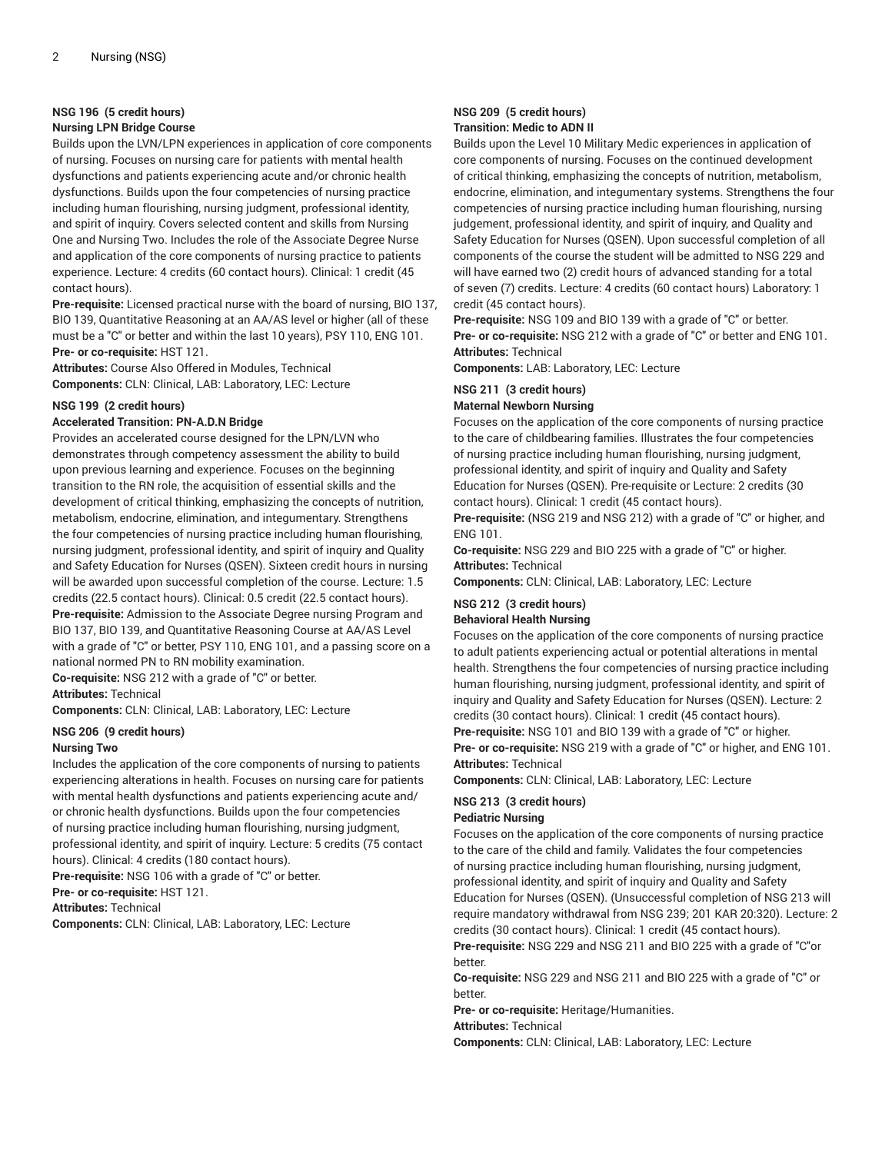### **NSG 196 (5 credit hours)**

### **Nursing LPN Bridge Course**

Builds upon the LVN/LPN experiences in application of core components of nursing. Focuses on nursing care for patients with mental health dysfunctions and patients experiencing acute and/or chronic health dysfunctions. Builds upon the four competencies of nursing practice including human flourishing, nursing judgment, professional identity, and spirit of inquiry. Covers selected content and skills from Nursing One and Nursing Two. Includes the role of the Associate Degree Nurse and application of the core components of nursing practice to patients experience. Lecture: 4 credits (60 contact hours). Clinical: 1 credit (45 contact hours).

**Pre-requisite:** Licensed practical nurse with the board of nursing, BIO 137, BIO 139, Quantitative Reasoning at an AA/AS level or higher (all of these must be a "C" or better and within the last 10 years), PSY 110, ENG 101. **Pre- or co-requisite:** HST 121.

**Attributes:** Course Also Offered in Modules, Technical **Components:** CLN: Clinical, LAB: Laboratory, LEC: Lecture

#### **NSG 199 (2 credit hours)**

### **Accelerated Transition: PN-A.D.N Bridge**

Provides an accelerated course designed for the LPN/LVN who demonstrates through competency assessment the ability to build upon previous learning and experience. Focuses on the beginning transition to the RN role, the acquisition of essential skills and the development of critical thinking, emphasizing the concepts of nutrition, metabolism, endocrine, elimination, and integumentary. Strengthens the four competencies of nursing practice including human flourishing, nursing judgment, professional identity, and spirit of inquiry and Quality and Safety Education for Nurses (QSEN). Sixteen credit hours in nursing will be awarded upon successful completion of the course. Lecture: 1.5 credits (22.5 contact hours). Clinical: 0.5 credit (22.5 contact hours). **Pre-requisite:** Admission to the Associate Degree nursing Program and BIO 137, BIO 139, and Quantitative Reasoning Course at AA/AS Level with a grade of "C" or better, PSY 110, ENG 101, and a passing score on a national normed PN to RN mobility examination.

**Co-requisite:** NSG 212 with a grade of "C" or better.

**Attributes:** Technical

**Components:** CLN: Clinical, LAB: Laboratory, LEC: Lecture

#### **NSG 206 (9 credit hours)**

#### **Nursing Two**

Includes the application of the core components of nursing to patients experiencing alterations in health. Focuses on nursing care for patients with mental health dysfunctions and patients experiencing acute and/ or chronic health dysfunctions. Builds upon the four competencies of nursing practice including human flourishing, nursing judgment, professional identity, and spirit of inquiry. Lecture: 5 credits (75 contact hours). Clinical: 4 credits (180 contact hours).

**Pre-requisite:** NSG 106 with a grade of "C" or better.

**Pre- or co-requisite:** HST 121.

**Attributes:** Technical

**Components:** CLN: Clinical, LAB: Laboratory, LEC: Lecture

### **NSG 209 (5 credit hours) Transition: Medic to ADN II**

Builds upon the Level 10 Military Medic experiences in application of core components of nursing. Focuses on the continued development of critical thinking, emphasizing the concepts of nutrition, metabolism, endocrine, elimination, and integumentary systems. Strengthens the four competencies of nursing practice including human flourishing, nursing judgement, professional identity, and spirit of inquiry, and Quality and Safety Education for Nurses (QSEN). Upon successful completion of all components of the course the student will be admitted to NSG 229 and will have earned two (2) credit hours of advanced standing for a total of seven (7) credits. Lecture: 4 credits (60 contact hours) Laboratory: 1 credit (45 contact hours).

**Pre-requisite:** NSG 109 and BIO 139 with a grade of "C" or better. **Pre- or co-requisite:** NSG 212 with a grade of "C" or better and ENG 101. **Attributes:** Technical

**Components:** LAB: Laboratory, LEC: Lecture

### **NSG 211 (3 credit hours)**

### **Maternal Newborn Nursing**

Focuses on the application of the core components of nursing practice to the care of childbearing families. Illustrates the four competencies of nursing practice including human flourishing, nursing judgment, professional identity, and spirit of inquiry and Quality and Safety Education for Nurses (QSEN). Pre-requisite or Lecture: 2 credits (30 contact hours). Clinical: 1 credit (45 contact hours).

**Pre-requisite:** (NSG 219 and NSG 212) with a grade of "C" or higher, and ENG 101.

**Co-requisite:** NSG 229 and BIO 225 with a grade of "C" or higher. **Attributes:** Technical

**Components:** CLN: Clinical, LAB: Laboratory, LEC: Lecture

# **NSG 212 (3 credit hours)**

### **Behavioral Health Nursing**

Focuses on the application of the core components of nursing practice to adult patients experiencing actual or potential alterations in mental health. Strengthens the four competencies of nursing practice including human flourishing, nursing judgment, professional identity, and spirit of inquiry and Quality and Safety Education for Nurses (QSEN). Lecture: 2 credits (30 contact hours). Clinical: 1 credit (45 contact hours). **Pre-requisite:** NSG 101 and BIO 139 with a grade of "C" or higher. **Pre- or co-requisite:** NSG 219 with a grade of "C" or higher, and ENG 101. **Attributes:** Technical

**Components:** CLN: Clinical, LAB: Laboratory, LEC: Lecture

## **NSG 213 (3 credit hours)**

### **Pediatric Nursing**

Focuses on the application of the core components of nursing practice to the care of the child and family. Validates the four competencies of nursing practice including human flourishing, nursing judgment, professional identity, and spirit of inquiry and Quality and Safety Education for Nurses (QSEN). (Unsuccessful completion of NSG 213 will require mandatory withdrawal from NSG 239; 201 KAR 20:320). Lecture: 2 credits (30 contact hours). Clinical: 1 credit (45 contact hours).

**Pre-requisite:** NSG 229 and NSG 211 and BIO 225 with a grade of "C"or better.

**Co-requisite:** NSG 229 and NSG 211 and BIO 225 with a grade of "C" or better.

**Pre- or co-requisite:** Heritage/Humanities.

**Attributes:** Technical

**Components:** CLN: Clinical, LAB: Laboratory, LEC: Lecture